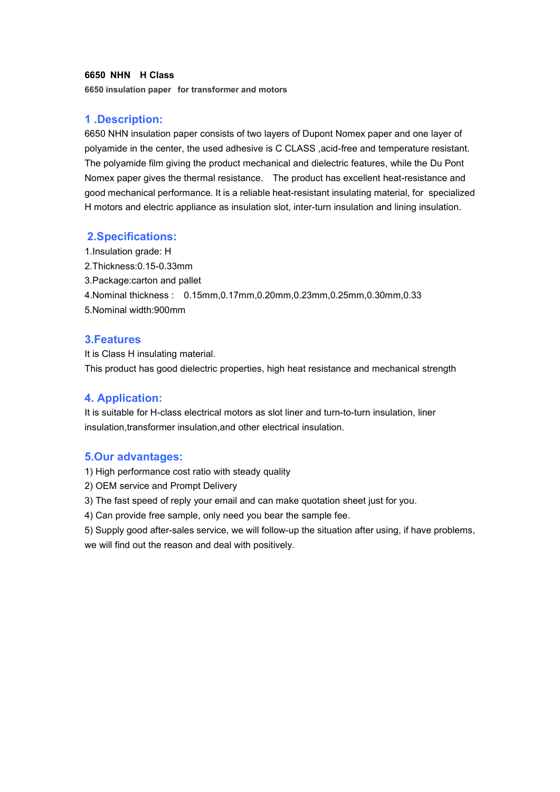### **6650 NHN H Class**

**6650 insulation paper for transformer and motors**

# **1 .Description:**

6650 NHN insulation paper consists of two layers of Dupont Nomex paper and one layer of polyamide in the center, the used adhesive is C CLASS ,acid-free and temperature resistant. The polyamide film giving the product mechanical and dielectric features, while the Du Pont Nomex paper gives the thermal resistance. The product has excellent heat-resistance and good mechanical performance. It is a reliable heat-resistant insulating material, for specialized H motors and electric appliance as insulation slot, inter-turn insulation and lining insulation.

### **2.Specifications:**

1.Insulation grade: H 2.Thickness:0.15-0.33mm 3.Package:carton and pallet 4.Nominal thickness : 0.15mm,0.17mm,0.20mm,0.23mm,0.25mm,0.30mm,0.33 5.Nominal width:900mm

# **3.Features**

It is Class H insulating material. This product has good dielectric properties, high heat resistance and mechanical strength

# **4. Application:**

It is suitable for H-class electrical motors as slot liner and turn-to-turn insulation, liner insulation,transformer insulation,and other electrical insulation.

## **5.Our advantages:**

1) High performance cost ratio with steady quality

- 2) OEM service and Prompt Delivery
- 3) The fast speed of reply your email and can make quotation sheet just for you.
- 4) Can provide free sample, only need you bear the sample fee.

5) Supply good after-sales service, we will follow-up the situation after using, if have problems, we will find out the reason and deal with positively.